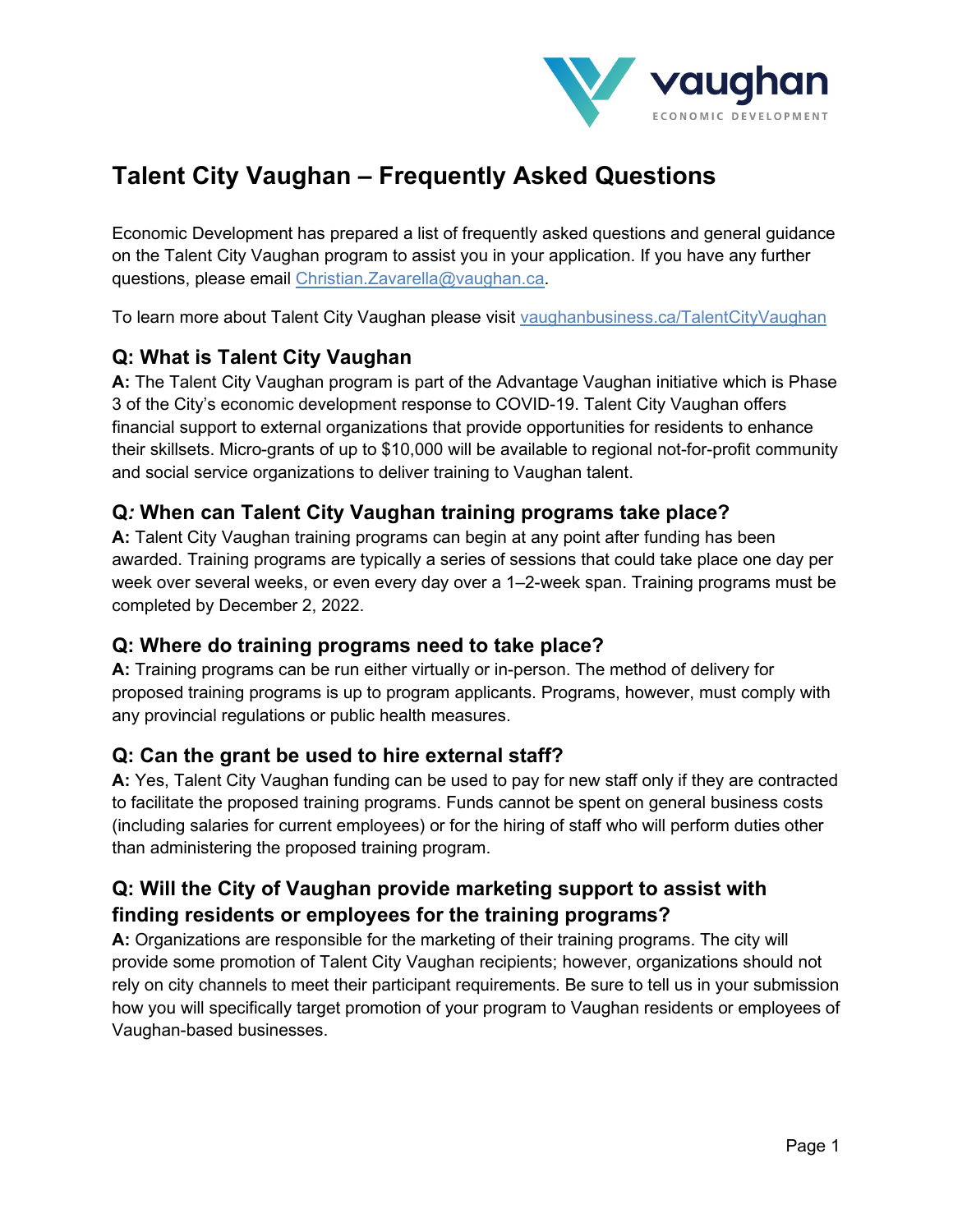

# **Talent City Vaughan – Frequently Asked Questions**

Economic Development has prepared a list of frequently asked questions and general guidance on the Talent City Vaughan program to assist you in your application. If you have any further questions, please email [Christian.Zavarella@vaughan.ca.](mailto:Christian.Zavarella@vaughan.ca)

To learn more about Talent City Vaughan please visit [vaughanbusiness.ca/TalentCityVaughan](https://vaughanbusiness.ca/TalentCityVaughan/)

### **Q: What is Talent City Vaughan**

**A:** The Talent City Vaughan program is part of the Advantage Vaughan initiative which is Phase 3 of the City's economic development response to COVID-19. Talent City Vaughan offers financial support to external organizations that provide opportunities for residents to enhance their skillsets. Micro-grants of up to \$10,000 will be available to regional not-for-profit community and social service organizations to deliver training to Vaughan talent.

### **Q***:* **When can Talent City Vaughan training programs take place?**

**A:** Talent City Vaughan training programs can begin at any point after funding has been awarded. Training programs are typically a series of sessions that could take place one day per week over several weeks, or even every day over a 1–2-week span. Training programs must be completed by December 2, 2022.

#### **Q: Where do training programs need to take place?**

**A:** Training programs can be run either virtually or in-person. The method of delivery for proposed training programs is up to program applicants. Programs, however, must comply with any provincial regulations or public health measures.

#### **Q: Can the grant be used to hire external staff?**

**A:** Yes, Talent City Vaughan funding can be used to pay for new staff only if they are contracted to facilitate the proposed training programs. Funds cannot be spent on general business costs (including salaries for current employees) or for the hiring of staff who will perform duties other than administering the proposed training program.

## **Q: Will the City of Vaughan provide marketing support to assist with finding residents or employees for the training programs?**

**A:** Organizations are responsible for the marketing of their training programs. The city will provide some promotion of Talent City Vaughan recipients; however, organizations should not rely on city channels to meet their participant requirements. Be sure to tell us in your submission how you will specifically target promotion of your program to Vaughan residents or employees of Vaughan-based businesses.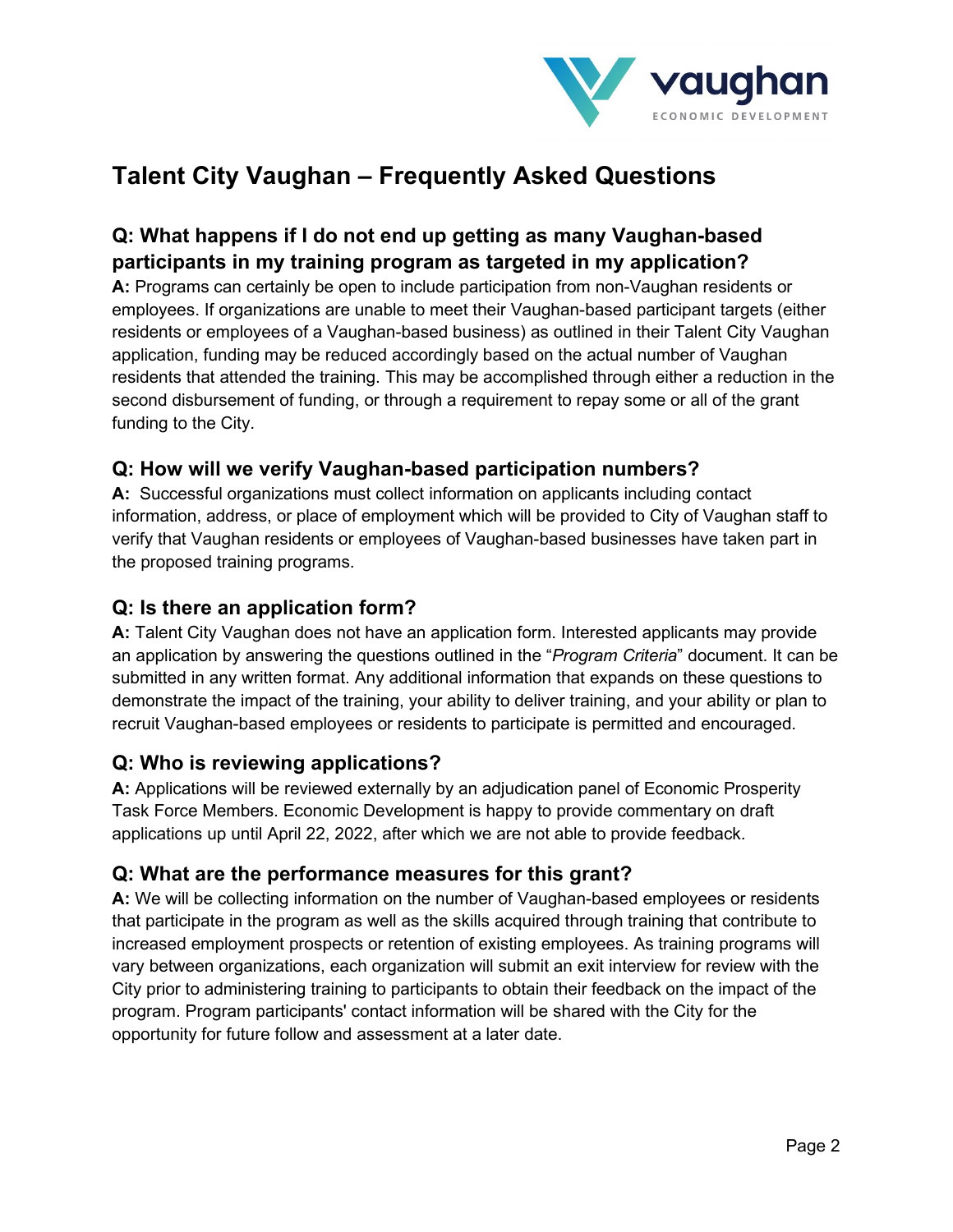

# **Talent City Vaughan – Frequently Asked Questions**

## **Q: What happens if I do not end up getting as many Vaughan-based participants in my training program as targeted in my application?**

**A:** Programs can certainly be open to include participation from non-Vaughan residents or employees. If organizations are unable to meet their Vaughan-based participant targets (either residents or employees of a Vaughan-based business) as outlined in their Talent City Vaughan application, funding may be reduced accordingly based on the actual number of Vaughan residents that attended the training. This may be accomplished through either a reduction in the second disbursement of funding, or through a requirement to repay some or all of the grant funding to the City.

## **Q: How will we verify Vaughan-based participation numbers?**

**A:** Successful organizations must collect information on applicants including contact information, address, or place of employment which will be provided to City of Vaughan staff to verify that Vaughan residents or employees of Vaughan-based businesses have taken part in the proposed training programs.

## **Q: Is there an application form?**

**A:** Talent City Vaughan does not have an application form. Interested applicants may provide an application by answering the questions outlined in the "*Program Criteria*" document. It can be submitted in any written format. Any additional information that expands on these questions to demonstrate the impact of the training, your ability to deliver training, and your ability or plan to recruit Vaughan-based employees or residents to participate is permitted and encouraged.

## **Q: Who is reviewing applications?**

**A:** Applications will be reviewed externally by an adjudication panel of Economic Prosperity Task Force Members. Economic Development is happy to provide commentary on draft applications up until April 22, 2022, after which we are not able to provide feedback.

#### **Q: What are the performance measures for this grant?**

**A:** We will be collecting information on the number of Vaughan-based employees or residents that participate in the program as well as the skills acquired through training that contribute to increased employment prospects or retention of existing employees. As training programs will vary between organizations, each organization will submit an exit interview for review with the City prior to administering training to participants to obtain their feedback on the impact of the program. Program participants' contact information will be shared with the City for the opportunity for future follow and assessment at a later date.